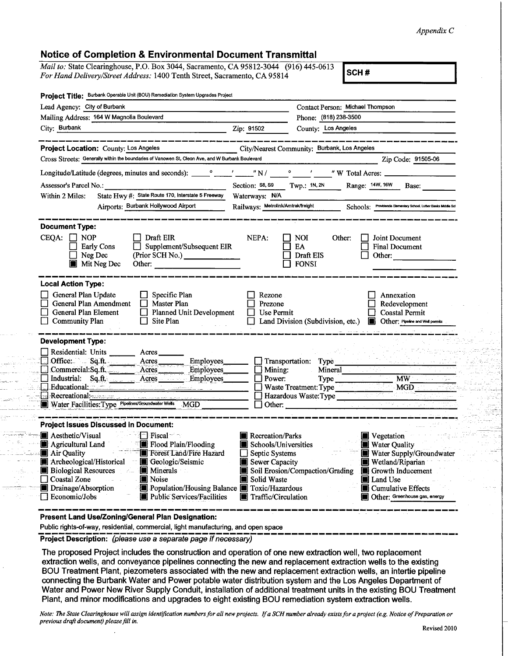## *Appendix C*

## **Notice of Completion & Environmental Document Transmittal**

*Mail to:* State Clearinghouse, P.O. Box 3044, Sacramento, CA 95812-3044 (916) 445-0613 *For Hand Delivery/Street Address:* 1400 Tenth Street, Sacramento, CA 95814 **SCH #** 

|                                                                                                                             | Project Title: Burbank Operable Unit (BOU) Remediation System Upgrades Project                                                                                                                                                                                                                                                             |                                                                                                  |                                                                                                                                                                                                                                                         |                                                                                                   |  |
|-----------------------------------------------------------------------------------------------------------------------------|--------------------------------------------------------------------------------------------------------------------------------------------------------------------------------------------------------------------------------------------------------------------------------------------------------------------------------------------|--------------------------------------------------------------------------------------------------|---------------------------------------------------------------------------------------------------------------------------------------------------------------------------------------------------------------------------------------------------------|---------------------------------------------------------------------------------------------------|--|
| Lead Agency: City of Burbank                                                                                                |                                                                                                                                                                                                                                                                                                                                            |                                                                                                  | Contact Person: Michael Thompson                                                                                                                                                                                                                        |                                                                                                   |  |
|                                                                                                                             | Mailing Address: 164 W Magnolia Boulevard                                                                                                                                                                                                                                                                                                  |                                                                                                  | Phone: (818) 238-3500                                                                                                                                                                                                                                   |                                                                                                   |  |
| City: Burbank                                                                                                               |                                                                                                                                                                                                                                                                                                                                            | Zip: 91502                                                                                       | County: Los Angeles                                                                                                                                                                                                                                     |                                                                                                   |  |
|                                                                                                                             | Project Location: County: Los Angeles                                                                                                                                                                                                                                                                                                      |                                                                                                  | City/Nearest Community: Burbank, Los Angeles                                                                                                                                                                                                            |                                                                                                   |  |
|                                                                                                                             | Cross Streets: Generally within the boundaries of Vanowen St, Cleon Ave, and W Burbank Boulevard                                                                                                                                                                                                                                           |                                                                                                  |                                                                                                                                                                                                                                                         | Zip Code: 91505-06                                                                                |  |
|                                                                                                                             |                                                                                                                                                                                                                                                                                                                                            |                                                                                                  |                                                                                                                                                                                                                                                         |                                                                                                   |  |
| Assessor's Parcel No.:                                                                                                      |                                                                                                                                                                                                                                                                                                                                            |                                                                                                  |                                                                                                                                                                                                                                                         | Section: S8, S9 Twp.: 1N, 2N Range: 14W, 16W Base:                                                |  |
| Within 2 Miles:                                                                                                             | State Hwy #: State Route 170, Interstate 5 Freeway                                                                                                                                                                                                                                                                                         | Waterways: N/A                                                                                   |                                                                                                                                                                                                                                                         |                                                                                                   |  |
|                                                                                                                             | Airports: Burbank Hollywood Airport                                                                                                                                                                                                                                                                                                        | Railways: Metrolink/Amtrak/freight                                                               |                                                                                                                                                                                                                                                         | Schools: Providencia Elementary School, Luther Banks Middle Sch                                   |  |
| <b>Document Type:</b>                                                                                                       |                                                                                                                                                                                                                                                                                                                                            |                                                                                                  |                                                                                                                                                                                                                                                         |                                                                                                   |  |
| $CEQA: \Box NP$                                                                                                             | Draft EIR<br>Supplement/Subsequent EIR<br>Early Cons<br>(Prior SCH No.)<br>Neg Dec<br><b>Mit Neg Dec</b><br>Other: The Contract of the Contract of the Contract of the Contract of the Contract of the Contract of the Contract of the Contract of the Contract of the Contract of the Contract of the Contract of the Contract of the Con | NEPA:                                                                                            | $\Box$ NOI<br>Other:<br>EA<br>П<br>Draft EIS<br><b>FONSI</b>                                                                                                                                                                                            | Joint Document<br><b>Final Document</b><br>Other:                                                 |  |
| <b>Local Action Type:</b><br>General Plan Update<br>General Plan Amendment<br>General Plan Element<br><b>Community Plan</b> | Specific Plan<br>U<br>Master Plan<br>⊔<br>$\Box$ Planned Unit Development<br>$\Box$ Site Plan<br>a sa Tung                                                                                                                                                                                                                                 | Rezone<br>Prezone<br>Use Permit<br>l I                                                           | Land Division (Subdivision, etc.)                                                                                                                                                                                                                       | Annexation<br>Redevelopment<br><b>Coastal Permit</b><br><b>D</b> Other: Pipeline and Well permits |  |
| <b>Development Type:</b><br>Residential: Units _______<br>Office: Sq.ft.                                                    | Acres<br>Acres_                                                                                                                                                                                                                                                                                                                            |                                                                                                  |                                                                                                                                                                                                                                                         |                                                                                                   |  |
|                                                                                                                             | Employees____<br>Commercial:Sq.ft. Acres<br>Employees                                                                                                                                                                                                                                                                                      | $\Box$ Mining:                                                                                   | Transportation: Type<br>Mineral                                                                                                                                                                                                                         |                                                                                                   |  |
|                                                                                                                             | Industrial: Sq.ft. ________ Acres _______ Employees                                                                                                                                                                                                                                                                                        | $\Box$ Power:                                                                                    |                                                                                                                                                                                                                                                         | <b>MW</b>                                                                                         |  |
|                                                                                                                             | Educational: The Contract of the Contract of the Contract of the Contract of the Contract of the Contract of the Contract of the Contract of the Contract of the Contract of the Contract of the Contract of the Contract of t                                                                                                             |                                                                                                  | Waste Treatment: Type<br>MGD                                                                                                                                                                                                                            |                                                                                                   |  |
|                                                                                                                             | Recreational<br>Water Facilities: Type Pipelines/Groundwater Wells MGD                                                                                                                                                                                                                                                                     |                                                                                                  | Hazardous Waste: Type<br>Other: and the contract of the contract of the contract of the contract of the contract of the contract of the contract of the contract of the contract of the contract of the contract of the contract of the contract of the | mine plan                                                                                         |  |
|                                                                                                                             | <b>Project Issues Discussed in Document:</b>                                                                                                                                                                                                                                                                                               |                                                                                                  |                                                                                                                                                                                                                                                         |                                                                                                   |  |
| Aesthetic/Visual                                                                                                            | $\blacksquare$ Fiscal $\blacksquare$ Fiscal $\blacksquare$<br>Agricultural Land Flood Plain/Flooding                                                                                                                                                                                                                                       | Recreation/Parks<br>Schools/Universities                                                         |                                                                                                                                                                                                                                                         | Vegetation<br><b>Water Quality</b>                                                                |  |
| <b>Forest Land/Fire Hazard</b><br>Air Quality<br>Archeological/Historical<br>Geologic/Seismic                               |                                                                                                                                                                                                                                                                                                                                            |                                                                                                  | Water Supply/Groundwater<br>Septic Systems<br>Sewer Capacity<br>Wetland/Riparian                                                                                                                                                                        |                                                                                                   |  |
| <b>Biological Resources</b>                                                                                                 | $\blacksquare$ Minerals<br>$\mathcal{E}_{\text{max}}$                                                                                                                                                                                                                                                                                      | Soil Erosion/Compaction/Grading<br>Growth Inducement<br>Ш                                        |                                                                                                                                                                                                                                                         |                                                                                                   |  |
| Coastal Zone                                                                                                                | Noise                                                                                                                                                                                                                                                                                                                                      | W                                                                                                | Solid Waste<br>Land Use                                                                                                                                                                                                                                 |                                                                                                   |  |
|                                                                                                                             |                                                                                                                                                                                                                                                                                                                                            | Population/Housing Balance <b>T</b> Toxic/Hazardous<br>Cumulative Effects<br>Traffic/Circulation |                                                                                                                                                                                                                                                         |                                                                                                   |  |
| Drainage/Absorption<br>$\Box$ Economic/Jobs                                                                                 | Public Services/Facilities                                                                                                                                                                                                                                                                                                                 | Ð                                                                                                |                                                                                                                                                                                                                                                         | Other: Greenhouse gas, energy                                                                     |  |

Public rights-of-way, residential, commercial, light manufacturing, and open space

**Project Description:** *(please use a separate page if necessary)*

 $\mathbf{r}$ 

zalenni s

a lugh sab

 $19.45 - 38.$ 

an an an an Aire.<br>Anns an aire an Aire ing Kilas<br>Tanggunian <u> 1994 - Jan Jawa Barat, p</u> والمستحيل والمستحدث in de la 15,53 للما للمؤجلين

 $\sim 10^{11}$  mm

**The proposed Project includes the construction and operation of one new extraction well, two replacement extraction wells, and conveyance pipelines connecting the new and replacement extraction wells to the existing BOU Treatment Plant, piezometers associated with the new and replacement extraction wells, an intertie pipeline connecting the Burbank Water and Power potable water distribution system and the Los Angeles Department of** Water and Power New River Supply Conduit, installation of additional treatment units in the existing BOU Treatment **Plant, and minor modifications and upgrades to eight existing BOU remediation system extraction wells.**

Note: The State Clearinghouse will assign identification numbers for all new projects. If a SCH number already exists for a project (e.g. Notice of Preparation or *previous draft document) please fill in.*

ight)

 $\sim 10$  km